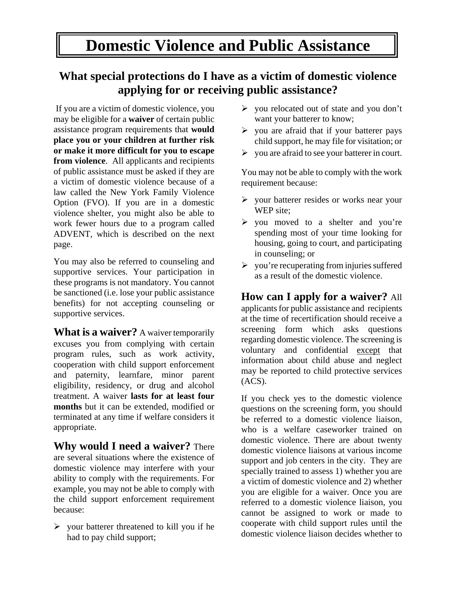## **Domestic Violence and Public Assistance**

## **What special protections do I have as a victim of domestic violence applying for or receiving public assistance?**

 If you are a victim of domestic violence, you may be eligible for a **waiver** of certain public assistance program requirements that **would place you or your children at further risk or make it more difficult for you to escape from violence**. All applicants and recipients of public assistance must be asked if they are a victim of domestic violence because of a law called the New York Family Violence Option (FVO). If you are in a domestic violence shelter, you might also be able to work fewer hours due to a program called ADVENT, which is described on the next page.

You may also be referred to counseling and supportive services. Your participation in these programs is not mandatory. You cannot be sanctioned (i.e. lose your public assistance benefits) for not accepting counseling or supportive services.

**What is a waiver?** A waiver temporarily excuses you from complying with certain program rules, such as work activity, cooperation with child support enforcement and paternity, learnfare, minor parent eligibility, residency, or drug and alcohol treatment. A waiver **lasts for at least four months** but it can be extended, modified or terminated at any time if welfare considers it appropriate.

**Why would I need a waiver?** There are several situations where the existence of domestic violence may interfere with your ability to comply with the requirements. For example, you may not be able to comply with the child support enforcement requirement because:

 $\triangleright$  your batterer threatened to kill you if he had to pay child support;

- $\triangleright$  you relocated out of state and you don't want your batterer to know;
- $\triangleright$  you are afraid that if your batterer pays child support, he may file for visitation; or
- $\triangleright$  you are afraid to see your batterer in court.

You may not be able to comply with the work requirement because:

- $\triangleright$  your batterer resides or works near your WEP site;
- $\triangleright$  you moved to a shelter and you're spending most of your time looking for housing, going to court, and participating in counseling; or
- $\triangleright$  you're recuperating from injuries suffered as a result of the domestic violence.

**How can I apply for a waiver?** All applicants for public assistance and recipients at the time of recertification should receive a screening form which asks questions regarding domestic violence. The screening is voluntary and confidential except that information about child abuse and neglect may be reported to child protective services (ACS).

If you check yes to the domestic violence questions on the screening form, you should be referred to a domestic violence liaison, who is a welfare caseworker trained on domestic violence. There are about twenty domestic violence liaisons at various income support and job centers in the city. They are specially trained to assess 1) whether you are a victim of domestic violence and 2) whether you are eligible for a waiver. Once you are referred to a domestic violence liaison, you cannot be assigned to work or made to cooperate with child support rules until the domestic violence liaison decides whether to